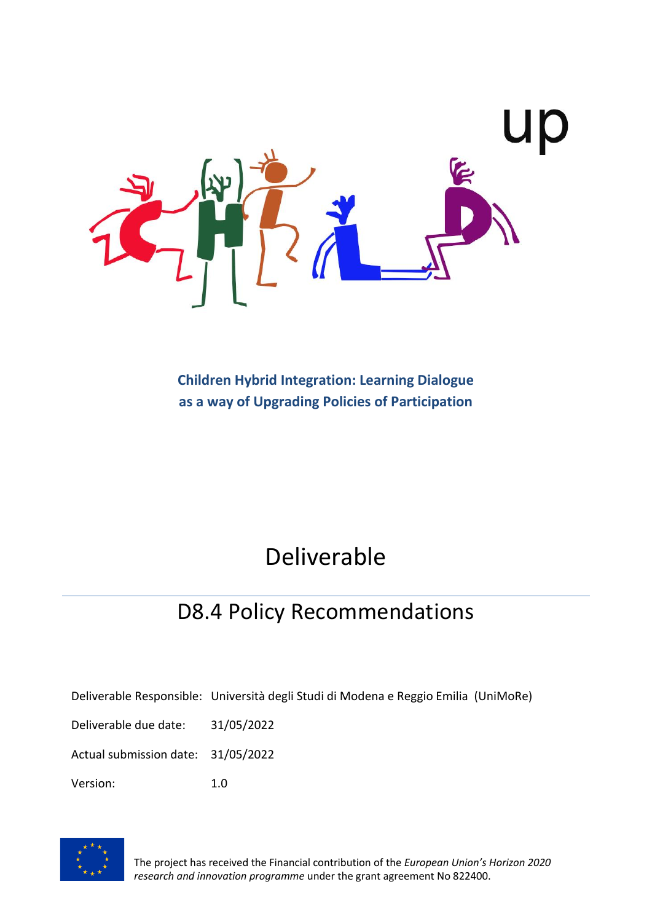

**Children Hybrid Integration: Learning Dialogue as a way of Upgrading Policies of Participation**

# Deliverable

## D8.4 Policy Recommendations

Deliverable Responsible: Università degli Studi di Modena e Reggio Emilia (UniMoRe)

Deliverable due date: 31/05/2022

Actual submission date: 31/05/2022

Version: 1.0



The project has received the Financial contribution of the *European Union's Horizon 2020 research and innovation programme* under the grant agreement No 822400.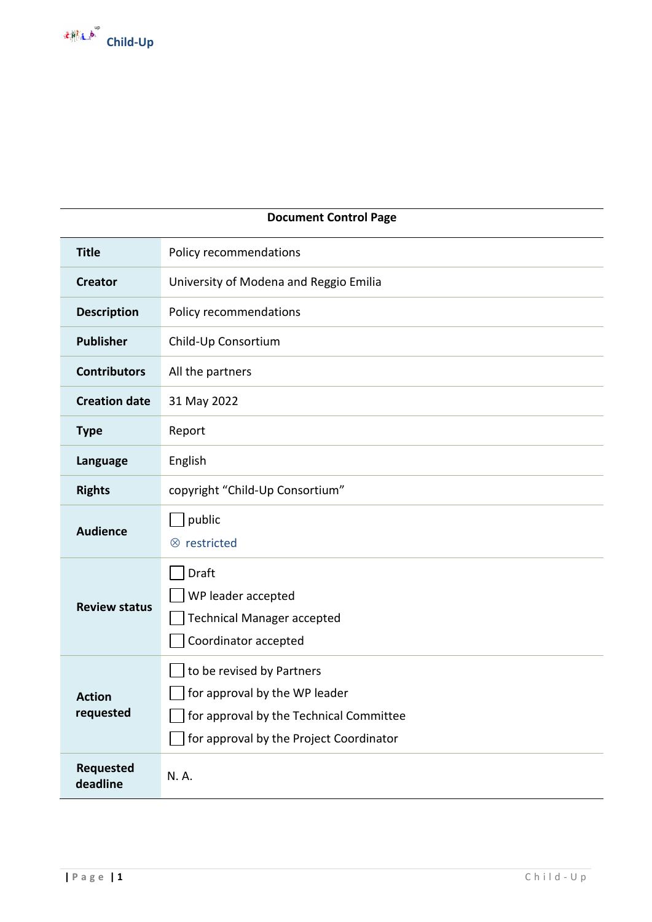

| <b>Document Control Page</b> |                                                                                                                                                  |  |
|------------------------------|--------------------------------------------------------------------------------------------------------------------------------------------------|--|
| <b>Title</b>                 | Policy recommendations                                                                                                                           |  |
| <b>Creator</b>               | University of Modena and Reggio Emilia                                                                                                           |  |
| <b>Description</b>           | Policy recommendations                                                                                                                           |  |
| <b>Publisher</b>             | Child-Up Consortium                                                                                                                              |  |
| <b>Contributors</b>          | All the partners                                                                                                                                 |  |
| <b>Creation date</b>         | 31 May 2022                                                                                                                                      |  |
| <b>Type</b>                  | Report                                                                                                                                           |  |
| Language                     | English                                                                                                                                          |  |
| <b>Rights</b>                | copyright "Child-Up Consortium"                                                                                                                  |  |
| <b>Audience</b>              | public<br>$\otimes$ restricted                                                                                                                   |  |
| <b>Review status</b>         | Draft<br>WP leader accepted<br><b>Technical Manager accepted</b><br>Coordinator accepted                                                         |  |
| <b>Action</b><br>requested   | to be revised by Partners<br>for approval by the WP leader<br>for approval by the Technical Committee<br>for approval by the Project Coordinator |  |
| <b>Requested</b><br>deadline | N.A.                                                                                                                                             |  |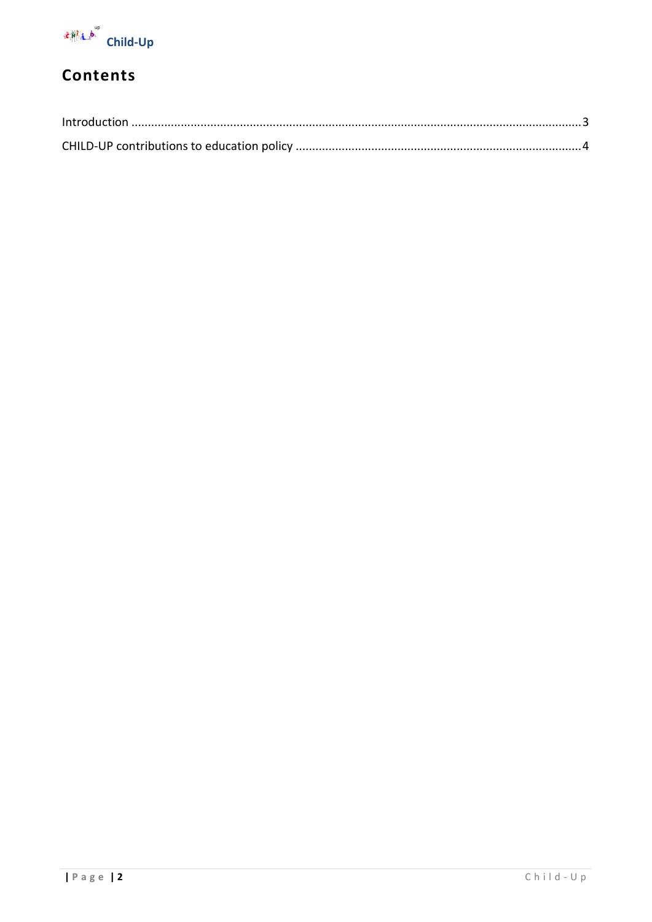

## Contents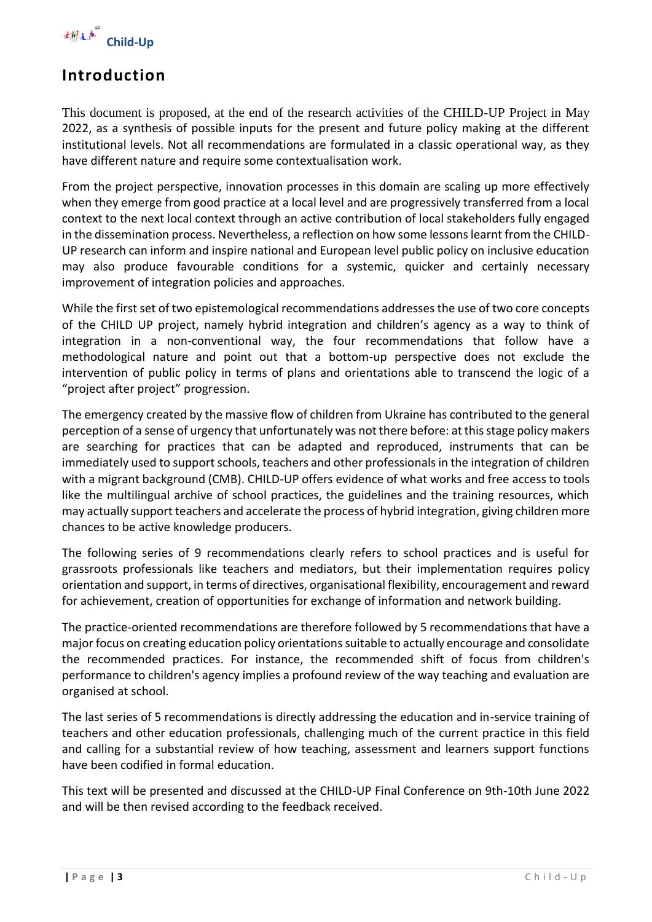

### <span id="page-3-0"></span>**Introduction**

This document is proposed, at the end of the research activities of the CHILD-UP Project in May 2022, as a synthesis of possible inputs for the present and future policy making at the different institutional levels. Not all recommendations are formulated in a classic operational way, as they have different nature and require some contextualisation work.

From the project perspective, innovation processes in this domain are scaling up more effectively when they emerge from good practice at a local level and are progressively transferred from a local context to the next local context through an active contribution of local stakeholders fully engaged in the dissemination process. Nevertheless, a reflection on how some lessons learnt from the CHILD-UP research can inform and inspire national and European level public policy on inclusive education may also produce favourable conditions for a systemic, quicker and certainly necessary improvement of integration policies and approaches.

While the first set of two epistemological recommendations addresses the use of two core concepts of the CHILD UP project, namely hybrid integration and children's agency as a way to think of integration in a non-conventional way, the four recommendations that follow have a methodological nature and point out that a bottom-up perspective does not exclude the intervention of public policy in terms of plans and orientations able to transcend the logic of a "project after project" progression.

The emergency created by the massive flow of children from Ukraine has contributed to the general perception of a sense of urgency that unfortunately was not there before: at this stage policy makers are searching for practices that can be adapted and reproduced, instruments that can be immediately used to support schools, teachers and other professionals in the integration of children with a migrant background (CMB). CHILD-UP offers evidence of what works and free access to tools like the multilingual archive of school practices, the guidelines and the training resources, which may actually support teachers and accelerate the process of hybrid integration, giving children more chances to be active knowledge producers.

The following series of 9 recommendations clearly refers to school practices and is useful for grassroots professionals like teachers and mediators, but their implementation requires policy orientation and support, in terms of directives, organisational flexibility, encouragement and reward for achievement, creation of opportunities for exchange of information and network building.

The practice-oriented recommendations are therefore followed by 5 recommendations that have a major focus on creating education policy orientations suitable to actually encourage and consolidate the recommended practices. For instance, the recommended shift of focus from children's performance to children's agency implies a profound review of the way teaching and evaluation are organised at school.

The last series of 5 recommendations is directly addressing the education and in-service training of teachers and other education professionals, challenging much of the current practice in this field and calling for a substantial review of how teaching, assessment and learners support functions have been codified in formal education.

This text will be presented and discussed at the CHILD-UP Final Conference on 9th-10th June 2022 and will be then revised according to the feedback received.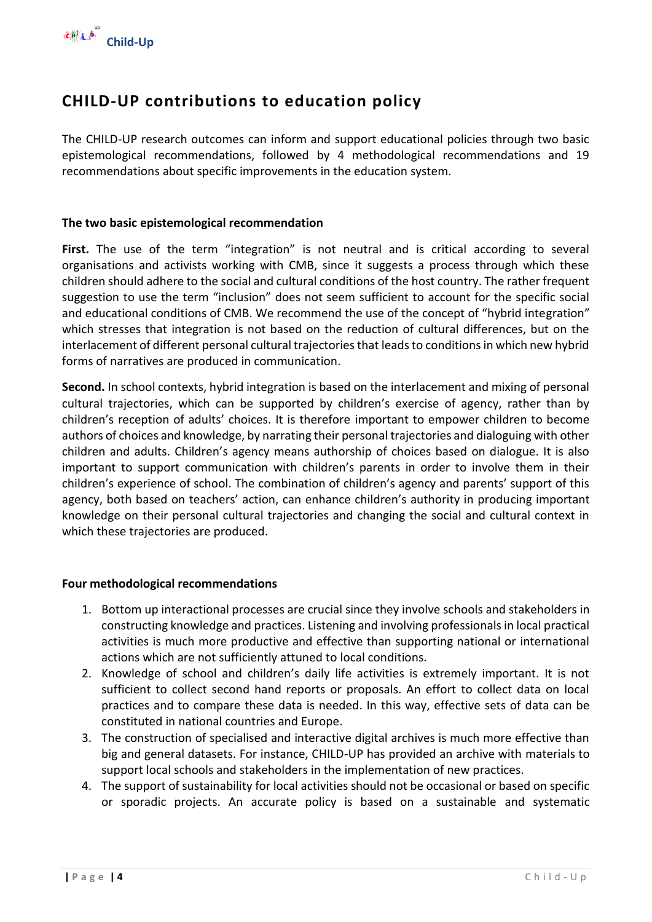

### <span id="page-4-0"></span>**CHILD-UP contributions to education policy**

The CHILD-UP research outcomes can inform and support educational policies through two basic epistemological recommendations, followed by 4 methodological recommendations and 19 recommendations about specific improvements in the education system.

#### **The two basic epistemological recommendation**

First. The use of the term "integration" is not neutral and is critical according to several organisations and activists working with CMB, since it suggests a process through which these children should adhere to the social and cultural conditions of the host country. The rather frequent suggestion to use the term "inclusion" does not seem sufficient to account for the specific social and educational conditions of CMB. We recommend the use of the concept of "hybrid integration" which stresses that integration is not based on the reduction of cultural differences, but on the interlacement of different personal cultural trajectories that leads to conditions in which new hybrid forms of narratives are produced in communication.

**Second.** In school contexts, hybrid integration is based on the interlacement and mixing of personal cultural trajectories, which can be supported by children's exercise of agency, rather than by children's reception of adults' choices. It is therefore important to empower children to become authors of choices and knowledge, by narrating their personal trajectories and dialoguing with other children and adults. Children's agency means authorship of choices based on dialogue. It is also important to support communication with children's parents in order to involve them in their children's experience of school. The combination of children's agency and parents' support of this agency, both based on teachers' action, can enhance children's authority in producing important knowledge on their personal cultural trajectories and changing the social and cultural context in which these trajectories are produced.

#### **Four methodological recommendations**

- 1. Bottom up interactional processes are crucial since they involve schools and stakeholders in constructing knowledge and practices. Listening and involving professionals in local practical activities is much more productive and effective than supporting national or international actions which are not sufficiently attuned to local conditions.
- 2. Knowledge of school and children's daily life activities is extremely important. It is not sufficient to collect second hand reports or proposals. An effort to collect data on local practices and to compare these data is needed. In this way, effective sets of data can be constituted in national countries and Europe.
- 3. The construction of specialised and interactive digital archives is much more effective than big and general datasets. For instance, CHILD-UP has provided an archive with materials to support local schools and stakeholders in the implementation of new practices.
- 4. The support of sustainability for local activities should not be occasional or based on specific or sporadic projects. An accurate policy is based on a sustainable and systematic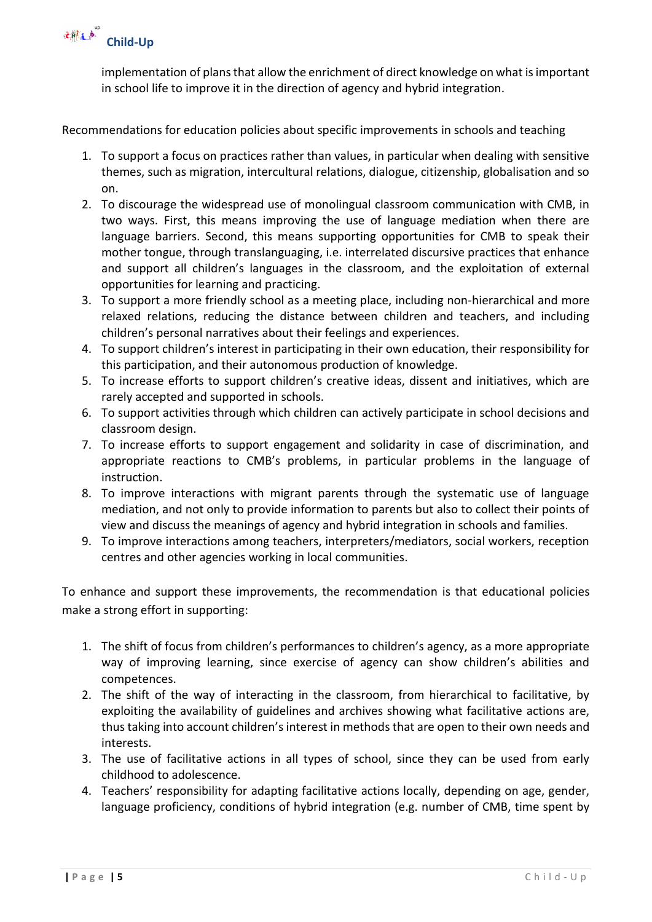

implementation of plans that allow the enrichment of direct knowledge on what is important in school life to improve it in the direction of agency and hybrid integration.

Recommendations for education policies about specific improvements in schools and teaching

- 1. To support a focus on practices rather than values, in particular when dealing with sensitive themes, such as migration, intercultural relations, dialogue, citizenship, globalisation and so on.
- 2. To discourage the widespread use of monolingual classroom communication with CMB, in two ways. First, this means improving the use of language mediation when there are language barriers. Second, this means supporting opportunities for CMB to speak their mother tongue, through translanguaging, i.e. interrelated discursive practices that enhance and support all children's languages in the classroom, and the exploitation of external opportunities for learning and practicing.
- 3. To support a more friendly school as a meeting place, including non-hierarchical and more relaxed relations, reducing the distance between children and teachers, and including children's personal narratives about their feelings and experiences.
- 4. To support children's interest in participating in their own education, their responsibility for this participation, and their autonomous production of knowledge.
- 5. To increase efforts to support children's creative ideas, dissent and initiatives, which are rarely accepted and supported in schools.
- 6. To support activities through which children can actively participate in school decisions and classroom design.
- 7. To increase efforts to support engagement and solidarity in case of discrimination, and appropriate reactions to CMB's problems, in particular problems in the language of instruction.
- 8. To improve interactions with migrant parents through the systematic use of language mediation, and not only to provide information to parents but also to collect their points of view and discuss the meanings of agency and hybrid integration in schools and families.
- 9. To improve interactions among teachers, interpreters/mediators, social workers, reception centres and other agencies working in local communities.

To enhance and support these improvements, the recommendation is that educational policies make a strong effort in supporting:

- 1. The shift of focus from children's performances to children's agency, as a more appropriate way of improving learning, since exercise of agency can show children's abilities and competences.
- 2. The shift of the way of interacting in the classroom, from hierarchical to facilitative, by exploiting the availability of guidelines and archives showing what facilitative actions are, thus taking into account children's interest in methods that are open to their own needs and interests.
- 3. The use of facilitative actions in all types of school, since they can be used from early childhood to adolescence.
- 4. Teachers' responsibility for adapting facilitative actions locally, depending on age, gender, language proficiency, conditions of hybrid integration (e.g. number of CMB, time spent by